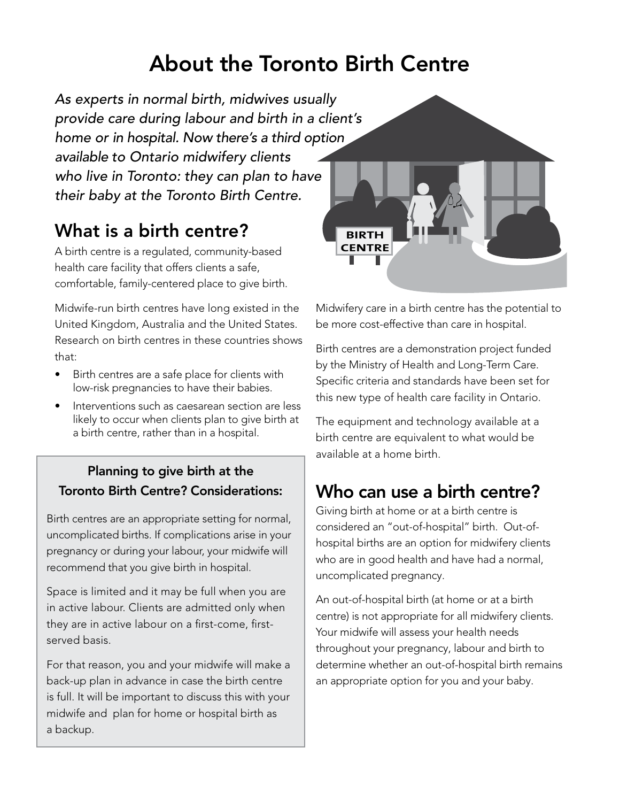# About the Toronto Birth Centre

As experts in normal birth, midwives usually provide care during labour and birth in a client's home or in hospital. Now there's a third option available to Ontario midwifery clients who live in Toronto: they can plan to have their baby at the Toronto Birth Centre.

### What is a birth centre?

A birth centre is a regulated, community-based health care facility that offers clients a safe, comfortable, family-centered place to give birth.

Midwife-run birth centres have long existed in the United Kingdom, Australia and the United States. Research on birth centres in these countries shows that:

- Birth centres are a safe place for clients with low-risk pregnancies to have their babies.
- Interventions such as caesarean section are less likely to occur when clients plan to give birth at a birth centre, rather than in a hospital.

#### Planning to give birth at the Toronto Birth Centre? Considerations:

Birth centres are an appropriate setting for normal, uncomplicated births. If complications arise in your pregnancy or during your labour, your midwife will recommend that you give birth in hospital.

Space is limited and it may be full when you are in active labour. Clients are admitted only when they are in active labour on a first-come, firstserved basis.

For that reason, you and your midwife will make a back-up plan in advance in case the birth centre is full. It will be important to discuss this with your midwife and plan for home or hospital birth as a backup.



Midwifery care in a birth centre has the potential to be more cost-effective than care in hospital.

Birth centres are a demonstration project funded by the Ministry of Health and Long-Term Care. Specific criteria and standards have been set for this new type of health care facility in Ontario.

The equipment and technology available at a birth centre are equivalent to what would be available at a home birth.

### Who can use a birth centre?

Giving birth at home or at a birth centre is considered an "out-of-hospital" birth. Out-ofhospital births are an option for midwifery clients who are in good health and have had a normal, uncomplicated pregnancy.

An out-of-hospital birth (at home or at a birth centre) is not appropriate for all midwifery clients. Your midwife will assess your health needs throughout your pregnancy, labour and birth to determine whether an out-of-hospital birth remains an appropriate option for you and your baby.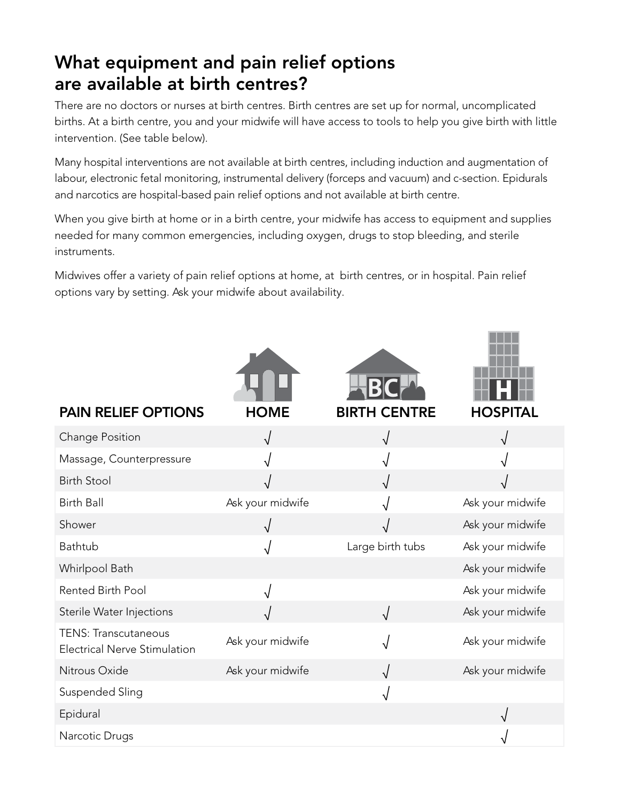### What equipment and pain relief options are available at birth centres?

There are no doctors or nurses at birth centres. Birth centres are set up for normal, uncomplicated births. At a birth centre, you and your midwife will have access to tools to help you give birth with little intervention. (See table below).

Many hospital interventions are not available at birth centres, including induction and augmentation of labour, electronic fetal monitoring, instrumental delivery (forceps and vacuum) and c-section. Epidurals and narcotics are hospital-based pain relief options and not available at birth centre.

When you give birth at home or in a birth centre, your midwife has access to equipment and supplies needed for many common emergencies, including oxygen, drugs to stop bleeding, and sterile instruments.

Midwives offer a variety of pain relief options at home, at birth centres, or in hospital. Pain relief options vary by setting. Ask your midwife about availability.

| <b>PAIN RELIEF OPTIONS</b>                                         | <b>HOME</b>      | <b>BIRTH CENTRE</b> | <b>HOSPITAL</b>  |
|--------------------------------------------------------------------|------------------|---------------------|------------------|
| Change Position                                                    |                  | $\sqrt{ }$          |                  |
| Massage, Counterpressure                                           |                  |                     |                  |
| <b>Birth Stool</b>                                                 |                  |                     |                  |
| <b>Birth Ball</b>                                                  | Ask your midwife |                     | Ask your midwife |
| Shower                                                             |                  |                     | Ask your midwife |
| Bathtub                                                            |                  | Large birth tubs    | Ask your midwife |
| Whirlpool Bath                                                     |                  |                     | Ask your midwife |
| <b>Rented Birth Pool</b>                                           |                  |                     | Ask your midwife |
| Sterile Water Injections                                           |                  | $\sqrt{ }$          | Ask your midwife |
| <b>TENS: Transcutaneous</b><br><b>Electrical Nerve Stimulation</b> | Ask your midwife |                     | Ask your midwife |
| Nitrous Oxide                                                      | Ask your midwife |                     | Ask your midwife |
| Suspended Sling                                                    |                  | √                   |                  |
| Epidural                                                           |                  |                     |                  |
| Narcotic Drugs                                                     |                  |                     |                  |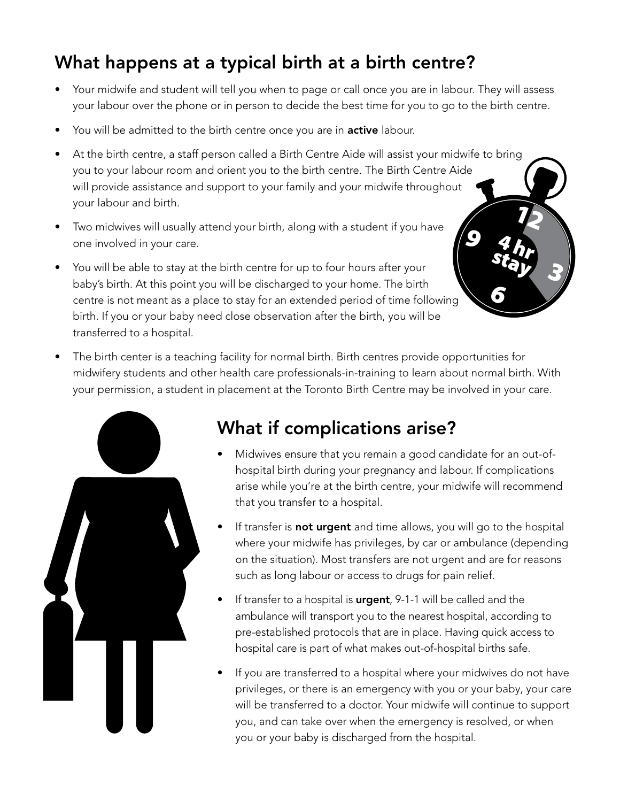## What happens at a typical birth at a birth centre?

- Your midwife and student will tell you when to page or call once you are in labour. They will assess your labour over the phone or in person to decide the best time for you to go to the birth centre.
- You will be admitted to the birth centre once you are in **active** labour.
- At the birth centre, a staff person called a Birth Centre Aide will assist your midwife to bring you to your labour room and orient you to the birth centre. The Birth Centre Aide will provide assistance and support to your family and your midwife throughout your labour and birth. 12
- Two midwives will usually attend your birth, along with a student if you have one involved in your care.
- You will be able to stay at the birth centre for up to four hours after your baby's birth. At this point you will be discharged to your home. The birth centre is not meant as a place to stay for an extended period of time following birth. If you or your baby need close observation after the birth, you will be transferred to a hospital.
- The birth center is a teaching facility for normal birth. Birth centres provide opportunities for midwifery students and other health care professionals-in-training to learn about normal birth. With your permission, a student in placement at the Toronto Birth Centre may be involved in your care.



### What if complications arise?

• Midwives ensure that you remain a good candidate for an out-ofhospital birth during your pregnancy and labour. If complications arise while you're at the birth centre, your midwife will recommend that you transfer to a hospital.

3

9

6

4 hr stay

- If transfer is not urgent and time allows, you will go to the hospital where your midwife has privileges, by car or ambulance (depending on the situation). Most transfers are not urgent and are for reasons such as long labour or access to drugs for pain relief.
- If transfer to a hospital is **urgent**, 9-1-1 will be called and the ambulance will transport you to the nearest hospital, according to pre-established protocols that are in place. Having quick access to hospital care is part of what makes out-of-hospital births safe.
- If you are transferred to a hospital where your midwives do not have privileges, or there is an emergency with you or your baby, your care will be transferred to a doctor. Your midwife will continue to support you, and can take over when the emergency is resolved, or when you or your baby is discharged from the hospital.